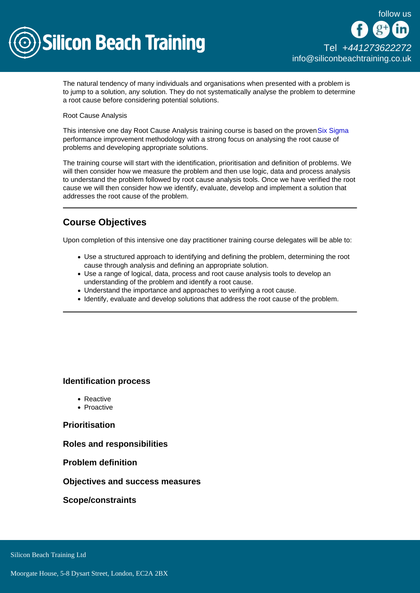

The natural tendency of many individuals and organisations when presented with a problem is to jump to a solution, any solution. They do not systematically analyse the problem to determine a root cause before considering potential solutions.

#### Root Cause Analysis

This intensive one day Root Cause Analysis training course is based on the proven [Six Sigma](/six-sigma-training) performance improvement methodology with a strong focus on analysing the root cause of problems and developing appropriate solutions.

The training course will start with the identification, prioritisation and definition of problems. We will then consider how we measure the problem and then use logic, data and process analysis to understand the problem followed by root cause analysis tools. Once we have verified the root cause we will then consider how we identify, evaluate, develop and implement a solution that addresses the root cause of the problem.

# Course Objectives

Upon completion of this intensive one day practitioner training course delegates will be able to:

- Use a structured approach to identifying and defining the problem, determining the root cause through analysis and defining an appropriate solution.
- Use a range of logical, data, process and root cause analysis tools to develop an understanding of the problem and identify a root cause.
- Understand the importance and approaches to verifying a root cause.
- Identify, evaluate and develop solutions that address the root cause of the problem.

Identification process

- Reactive
- Proactive

**Prioritisation** 

Roles and responsibilities

Problem definition

Objectives and success measures

Scope/constraints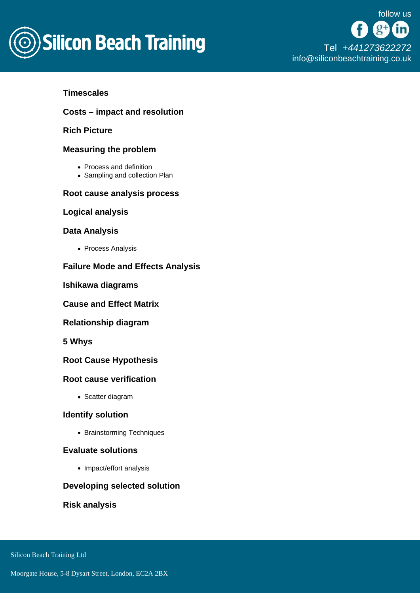

## **Timescales**

Costs – impact and resolution

Rich Picture

### Measuring the problem

- Process and definition
- Sampling and collection Plan

Root cause analysis process

Logical analysis

### Data Analysis

• Process Analysis

Failure Mode and Effects Analysis

Ishikawa diagrams

Cause and Effect Matrix

Relationship diagram

5 Whys

Root Cause Hypothesis

Root cause verification

• Scatter diagram

Identify solution

• Brainstorming Techniques

### Evaluate solutions

• Impact/effort analysis

Developing selected solution

Risk analysis